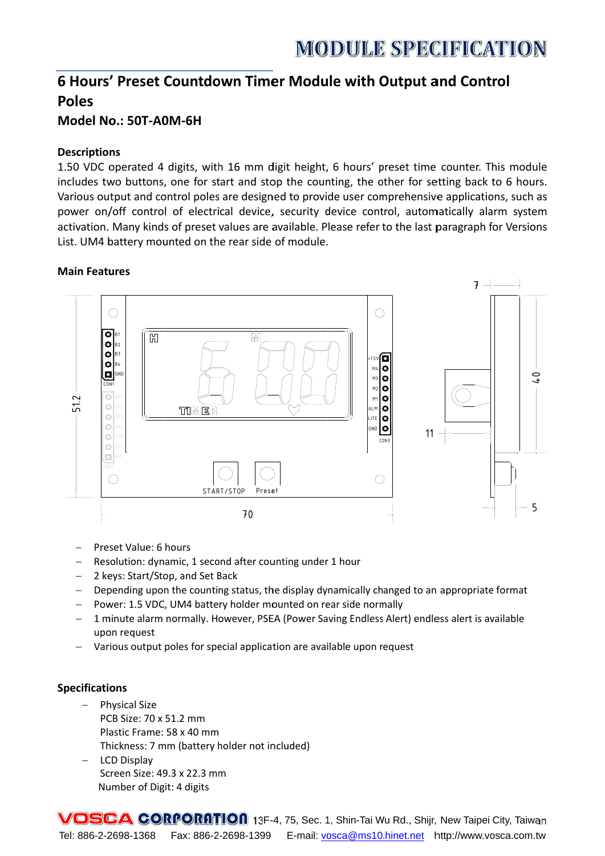# **MODULE SPECIFICATION**

## 6 Hours' Preset Countdown Timer Module with Output and Control **Poles**

**Model No.: 50T-A0M-6H** 

### **Descriptions**

1.50 VDC operated 4 digits, with 16 mm digit height, 6 hours' preset time counter. This module includes two buttons, one for start and stop the counting, the other for setting back to 6 hours. Various output and control poles are designed to provide user comprehensive applications, such as power on/off control of electrical device, security device control, automatically alarm system activation. Many kinds of preset values are available. Please refer to the last paragraph for Versions List. UM4 battery mounted on the rear side of module.

### **Main Features**



- Preset Value: 6 hours
- Resolution: dynamic, 1 second after counting under 1 hour  $\equiv$
- 2 keys: Start/Stop, and Set Back  $\equiv$  .
- Depending upon the counting status, the display dynamically changed to an appropriate format  $\equiv$
- Power: 1.5 VDC, UM4 battery holder mounted on rear side normally
- 1 minute alarm normally. However, PSEA (Power Saving Endless Alert) endless alert is available upon request
- Various output poles for special application are available upon request

#### **Specifications**

- $\equiv$ **Physical Size** PCB Size: 70 x 51.2 mm Plastic Frame: 58 x 40 mm Thickness: 7 mm (battery holder not included)
- LCD Display Screen Size: 49.3 x 22.3 mm Number of Digit: 4 digits

VOSCA CORPORATION 13F-4, 75, Sec. 1, Shin-Tai Wu Rd., Shijr, New Taipei City, Taiwan Tel: 886-2-2698-1368 Fax: 886-2-2698-1399 E-mail: vosca@ms10.hinet.net http://www.vosca.com.tw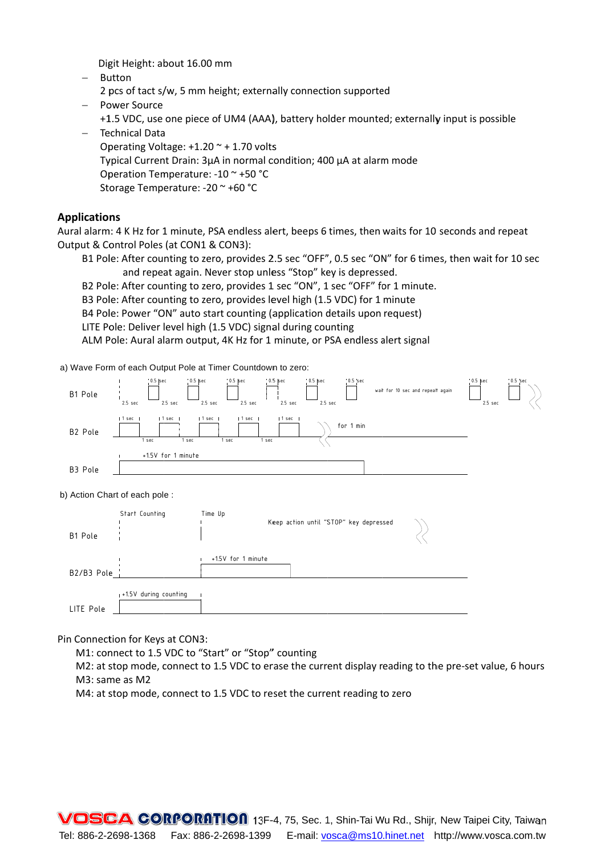Digit Height: about 16.00 mm

- $-$  Button
- 2 pcs of tact s/w, 5 mm height; externally connection supported
- Power Source +1.5 VDC, use one piece of UM4 (AAA), battery holder mounted; externally input is possible - Technical Data
- Operating Voltage:  $+1.20 +1.70$  volts Typical Current Drain: 3µA in normal condition; 400 µA at alarm mode Operation Temperature: -10 ~ +50 °C Storage Temperature: -20 ~ +60 °C

#### **Applications**

Aural alarm: 4 K Hz for 1 minute, PSA endless alert, beeps 6 times, then waits for 10 seconds and repeat Output & Control Poles (at CON1 & CON3):

- B1 Pole: After counting to zero, provides 2.5 sec "OFF", 0.5 sec "ON" for 6 times, then wait for 10 sec and repeat again. Never stop unless "Stop" key is depressed.
- B2 Pole: After counting to zero, provides 1 sec "ON", 1 sec "OFF" for 1 minute.
- B3 Pole: After counting to zero, provides level high (1.5 VDC) for 1 minute
- B4 Pole: Power "ON" auto start counting (application details upon request)
- LITE Pole: Deliver level high (1.5 VDC) signal during counting

ALM Pole: Aural alarm output, 4K Hz for 1 minute, or PSA endless alert signal

a) Wave Form of each Output Pole at Timer Countdown to zero:



#### b) Action Chart of each pole :

|              | Start Counting          | Time Up                                |  |
|--------------|-------------------------|----------------------------------------|--|
| B1 Pole      |                         | Keep action until "STOP" key depressed |  |
|              |                         | +1.5V for 1 minute                     |  |
| $B2/B3$ Pole |                         |                                        |  |
|              | $+1.5V$ during counting |                                        |  |
| LITE Pole    |                         |                                        |  |

Pin Connection for Keys at CON3:

M1: connect to 1.5 VDC to "Start" or "Stop" counting

M2: at stop mode, connect to 1.5 VDC to erase the current display reading to the pre-set value, 6 hours M3: same as M2

M4: at stop mode, connect to 1.5 VDC to reset the current reading to zero